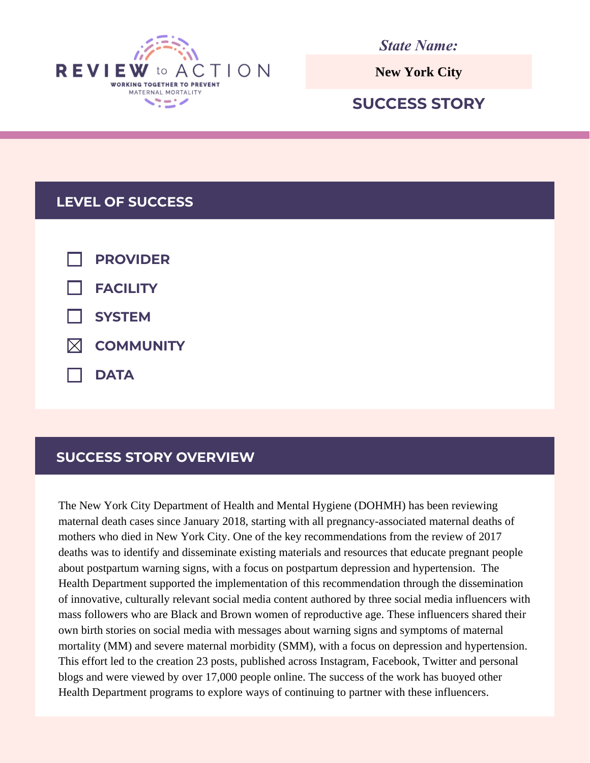

*State Name:*

# **SUCCESS STORY**

# **LEVEL OF SUCCESS**

| $\Box$ PROVIDER       |
|-----------------------|
| $\Box$ FACILITY       |
| $\Box$ SYSTEM         |
| $\boxtimes$ COMMUNITY |
| $\Box$ DATA           |

# **SUCCESS STORY OVERVIEW**

The New York City Department of Health and Mental Hygiene (DOHMH) has been reviewing maternal death cases since January 2018, starting with all pregnancy-associated maternal deaths of mothers who died in New York City. One of the key recommendations from the review of 2017 deaths was to identify and disseminate existing materials and resources that educate pregnant people about postpartum warning signs, with a focus on postpartum depression and hypertension. The Health Department supported the implementation of this recommendation through the dissemination of innovative, culturally relevant social media content authored by three social media influencers with mass followers who are Black and Brown women of reproductive age. These influencers shared their own birth stories on social media with messages about warning signs and symptoms of maternal mortality (MM) and severe maternal morbidity (SMM), with a focus on depression and hypertension. This effort led to the creation 23 posts, published across Instagram, Facebook, Twitter and personal blogs and were viewed by over 17,000 people online. The success of the work has buoyed other Health Department programs to explore the internet and the message of the state of the state of the state of the state of the state of the state of the state of the state of the state of the state of the state of the stat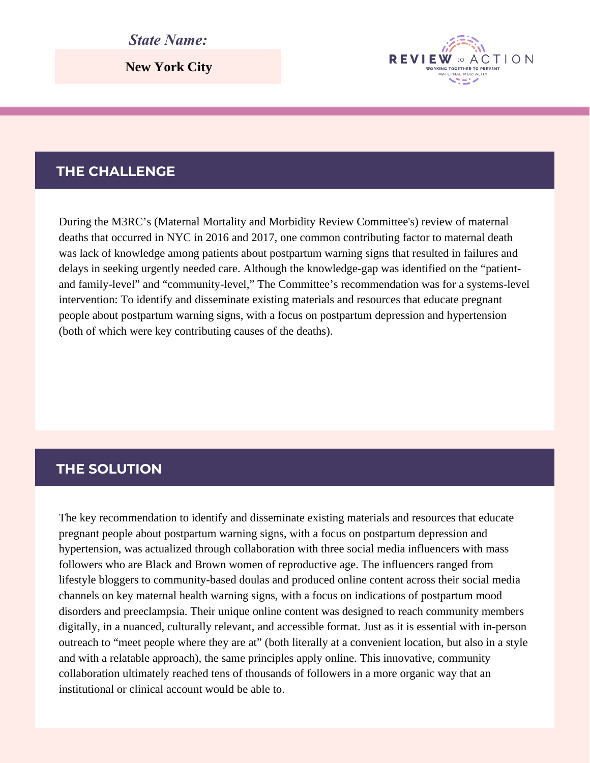#### *State Name:*

**New York City**

## **THE CHALLENGE**

During the M3RC's (Maternal Mortality and Morbidity Review Committee's) review of maternal deaths that occurred in NYC in 2016 and 2017, one common contributing factor to maternal death was lack of knowledge among patients about postpartum warning signs that resulted in failures and delays in seeking urgently needed care. Although the knowledge-gap was identified on the "patientand family-level" and "community-level," The Committee's recommendation was for a systems-level intervention: To identify and disseminate existing materials and resources that educate pregnant people about postpartum warning signs, with a focus on postpartum depression and hypertension (both of which were key contributing causes of the deaths).

**REVIEW** 

WORKING TOGETHER TO RREVEN

ACTION

## **THE SOLUTION**

The key recommendation to identify and disseminate existing materials and resources that educate pregnant people about postpartum warning signs, with a focus on postpartum depression and hypertension, was actualized through collaboration with three social media influencers with mass followers who are Black and Brown women of reproductive age. The influencers ranged from lifestyle bloggers to community-based doulas and produced online content across their social media channels on key maternal health warning signs, with a focus on indications of postpartum mood disorders and preeclampsia. Their unique online content was designed to reach community members digitally, in a nuanced, culturally relevant, and accessible format. Just as it is essential with in-person outreach to "meet people where they are at" (both literally at a convenient location, but also in a style and with a relatable approach), the same principles apply online. This innovative, community collaboration ultimately reached tens of thousands of followers in a more organic way that an institutional or clinical account would be able to.